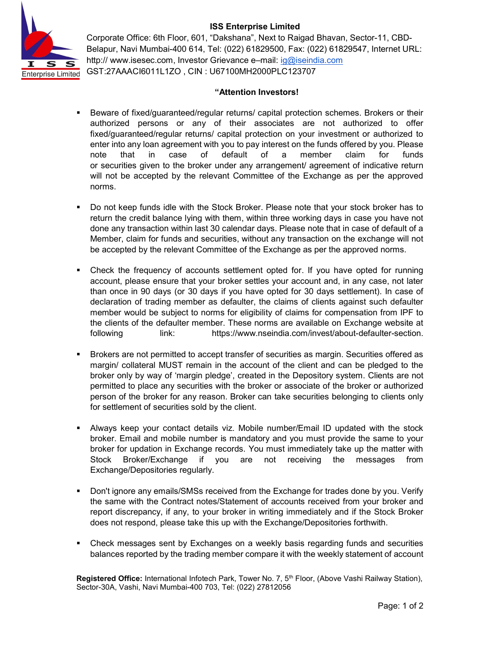## ISS Enterprise Limited



Corporate Office: 6th Floor, 601, "Dakshana", Next to Raigad Bhavan, Sector-11, CBD-Belapur, Navi Mumbai-400 614, Tel: (022) 61829500, Fax: (022) 61829547, Internet URL: http:// www.isesec.com, Investor Grievance e–mail: ig@iseindia.com GST:27AAACI6011L1ZO , CIN : U67100MH2000PLC123707

## "Attention Investors!

- **Beware of fixed/guaranteed/regular returns/ capital protection schemes. Brokers or their** authorized persons or any of their associates are not authorized to offer fixed/guaranteed/regular returns/ capital protection on your investment or authorized to enter into any loan agreement with you to pay interest on the funds offered by you. Please note that in case of default of a member claim for funds or securities given to the broker under any arrangement/ agreement of indicative return will not be accepted by the relevant Committee of the Exchange as per the approved norms.
- Do not keep funds idle with the Stock Broker. Please note that your stock broker has to return the credit balance lying with them, within three working days in case you have not done any transaction within last 30 calendar days. Please note that in case of default of a Member, claim for funds and securities, without any transaction on the exchange will not be accepted by the relevant Committee of the Exchange as per the approved norms.
- Check the frequency of accounts settlement opted for. If you have opted for running account, please ensure that your broker settles your account and, in any case, not later than once in 90 days (or 30 days if you have opted for 30 days settlement). In case of declaration of trading member as defaulter, the claims of clients against such defaulter member would be subject to norms for eligibility of claims for compensation from IPF to the clients of the defaulter member. These norms are available on Exchange website at following link: https://www.nseindia.com/invest/about-defaulter-section.
- Brokers are not permitted to accept transfer of securities as margin. Securities offered as margin/ collateral MUST remain in the account of the client and can be pledged to the broker only by way of 'margin pledge', created in the Depository system. Clients are not permitted to place any securities with the broker or associate of the broker or authorized person of the broker for any reason. Broker can take securities belonging to clients only for settlement of securities sold by the client.
- Always keep your contact details viz. Mobile number/Email ID updated with the stock broker. Email and mobile number is mandatory and you must provide the same to your broker for updation in Exchange records. You must immediately take up the matter with Stock Broker/Exchange if you are not receiving the messages from Exchange/Depositories regularly.
- **Don't ignore any emails/SMSs received from the Exchange for trades done by you. Verify** the same with the Contract notes/Statement of accounts received from your broker and report discrepancy, if any, to your broker in writing immediately and if the Stock Broker does not respond, please take this up with the Exchange/Depositories forthwith.
- Check messages sent by Exchanges on a weekly basis regarding funds and securities balances reported by the trading member compare it with the weekly statement of account

Registered Office: International Infotech Park, Tower No. 7, 5<sup>th</sup> Floor, (Above Vashi Railway Station), Sector-30A, Vashi, Navi Mumbai-400 703, Tel: (022) 27812056